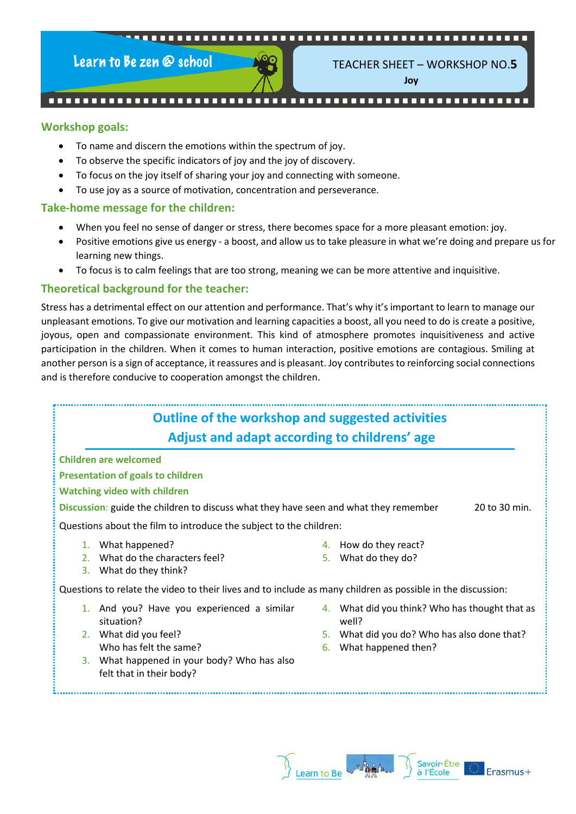#### 

Learn to Be zen @ school



TEACHER SHEET – WORKSHOP NO.**5**

**Joy**

#### 

#### **Workshop goals:**

- To name and discern the emotions within the spectrum of joy.
- To observe the specific indicators of joy and the joy of discovery.
- To focus on the joy itself of sharing your joy and connecting with someone.
- To use joy as a source of motivation, concentration and perseverance.

#### **Take-home message for the children:**

- When you feel no sense of danger or stress, there becomes space for a more pleasant emotion: joy.
- Positive emotions give us energy a boost, and allow us to take pleasure in what we're doing and prepare us for learning new things.
- To focus is to calm feelings that are too strong, meaning we can be more attentive and inquisitive.

#### **Theoretical background for the teacher:**

Stress has a detrimental effect on our attention and performance. That's why it's important to learn to manage our unpleasant emotions. To give our motivation and learning capacities a boost, all you need to do is create a positive, joyous, open and compassionate environment. This kind of atmosphere promotes inquisitiveness and active participation in the children. When it comes to human interaction, positive emotions are contagious. Smiling at another person is a sign of acceptance, it reassures and is pleasant. Joy contributes to reinforcing social connections and is therefore conducive to cooperation amongst the children.

# **Outline of the workshop and suggested activities Adjust and adapt according to childrens' age**

**Children are welcomed**

#### **Presentation of goals to children**

#### **Watching video with children**

**Discussion:** guide the children to discuss what they have seen and what they remember 20 to 30 min.

Questions about the film to introduce the subject to the children:

- 1. What happened?
- 2. What do the characters feel?
- 4. How do they react?

3. What do they think?

Questions to relate the video to their lives and to include as many children as possible in the discussion:

- 1. And you? Have you experienced a similar situation?
- 2. What did you feel? Who has felt the same?
- 3. What happened in your body? Who has also felt that in their body?
- 5. What do they do?
- 4. What did you think? Who has thought that as well?
- 5. What did you do? Who has also done that?
- 6. What happened then?